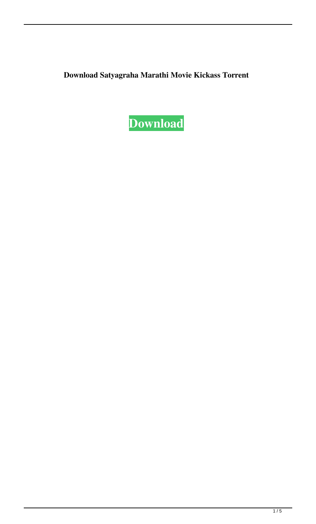**Download Satyagraha Marathi Movie Kickass Torrent**

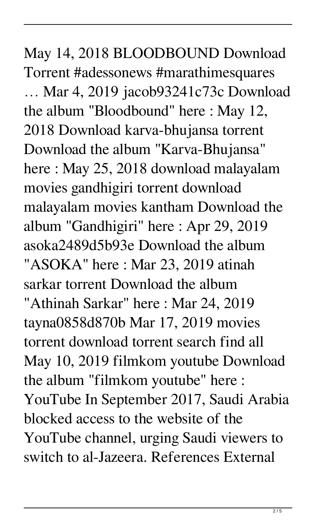May 14, 2018 BLOODBOUND Download Torrent #adessonews #marathimesquares … Mar 4, 2019 jacob93241c73c Download the album "Bloodbound" here : May 12, 2018 Download karva-bhujansa torrent Download the album "Karva-Bhujansa" here : May 25, 2018 download malayalam movies gandhigiri torrent download malayalam movies kantham Download the album "Gandhigiri" here : Apr 29, 2019 asoka2489d5b93e Download the album "ASOKA" here : Mar 23, 2019 atinah sarkar torrent Download the album "Athinah Sarkar" here : Mar 24, 2019 tayna0858d870b Mar 17, 2019 movies torrent download torrent search find all May 10, 2019 filmkom youtube Download the album "filmkom youtube" here : YouTube In September 2017, Saudi Arabia blocked access to the website of the YouTube channel, urging Saudi viewers to switch to al-Jazeera. References External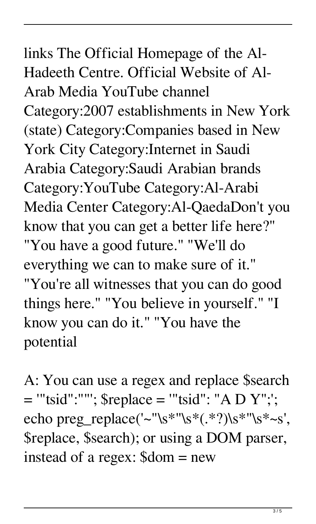links The Official Homepage of the Al-Hadeeth Centre. Official Website of Al-Arab Media YouTube channel Category:2007 establishments in New York (state) Category:Companies based in New York City Category:Internet in Saudi Arabia Category:Saudi Arabian brands Category:YouTube Category:Al-Arabi Media Center Category:Al-QaedaDon't you know that you can get a better life here?" "You have a good future." "We'll do everything we can to make sure of it." "You're all witnesses that you can do good things here." "You believe in yourself." "I know you can do it." "You have the potential

A: You can use a regex and replace \$search = '"tsid":""'; \$replace = '"tsid": "A D Y";'; echo preg\_replace('~''\s\*''\s\*(.\*?)\s\*''\s\*~s', \$replace, \$search); or using a DOM parser, instead of a regex: \$dom = new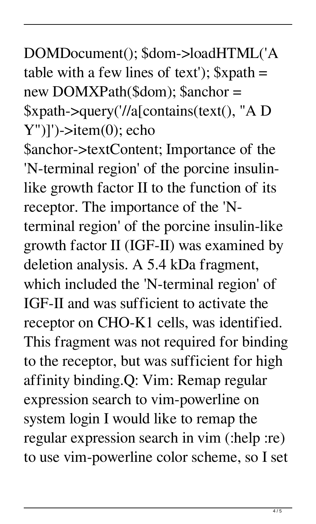## DOMDocument(); \$dom->loadHTML('A table with a few lines of text');  $\frac{1}{2}$  xpath = new DOMXPath(\$dom); \$anchor = \$xpath->query('//a[contains(text(), "A D  $Y'$ ]')->item $(0)$ ; echo

\$anchor->textContent; Importance of the 'N-terminal region' of the porcine insulinlike growth factor II to the function of its receptor. The importance of the 'Nterminal region' of the porcine insulin-like growth factor II (IGF-II) was examined by deletion analysis. A 5.4 kDa fragment, which included the 'N-terminal region' of IGF-II and was sufficient to activate the receptor on CHO-K1 cells, was identified. This fragment was not required for binding to the receptor, but was sufficient for high affinity binding.Q: Vim: Remap regular expression search to vim-powerline on system login I would like to remap the regular expression search in vim (:help :re) to use vim-powerline color scheme, so I set